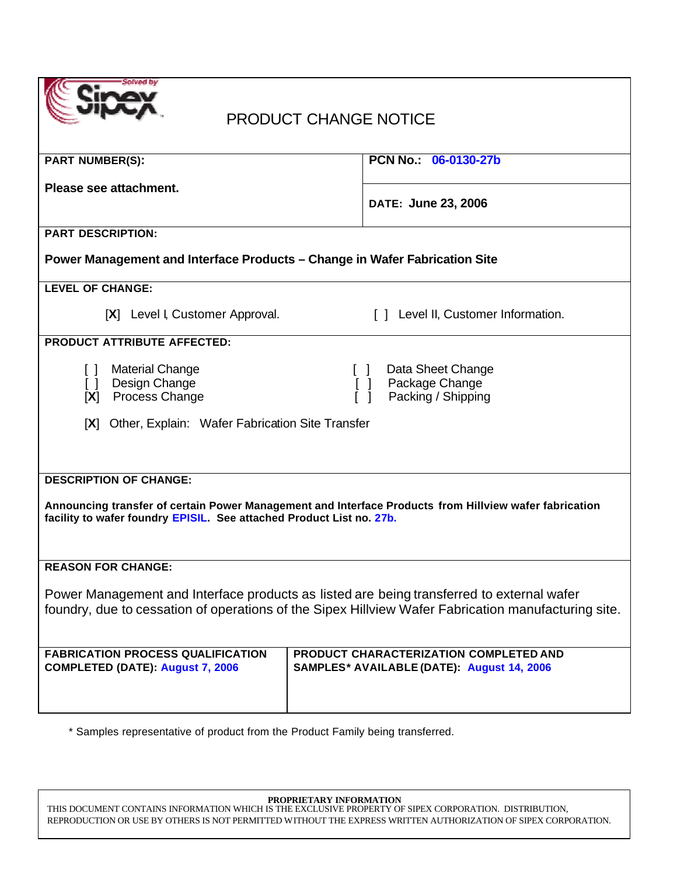|  | Solved by |
|--|-----------|
|  |           |
|  |           |
|  |           |

# PRODUCT CHANGE NOTICE

| <b>PART NUMBER(S):</b>                                                                                                                                                                           | PCN No.: 06-0130-27b                                                                                          |  |
|--------------------------------------------------------------------------------------------------------------------------------------------------------------------------------------------------|---------------------------------------------------------------------------------------------------------------|--|
| Please see attachment.                                                                                                                                                                           | DATE: June 23, 2006                                                                                           |  |
|                                                                                                                                                                                                  |                                                                                                               |  |
| <b>PART DESCRIPTION:</b>                                                                                                                                                                         |                                                                                                               |  |
| Power Management and Interface Products - Change in Wafer Fabrication Site                                                                                                                       |                                                                                                               |  |
| <b>LEVEL OF CHANGE:</b>                                                                                                                                                                          |                                                                                                               |  |
| [X] Level I, Customer Approval.                                                                                                                                                                  | [ ] Level II, Customer Information.                                                                           |  |
| <b>PRODUCT ATTRIBUTE AFFECTED:</b>                                                                                                                                                               |                                                                                                               |  |
| <b>Material Change</b><br>$\Box$<br>Design Change<br>$\Box$<br>[X] Process Change                                                                                                                | Data Sheet Change<br>$\Box$<br>Package Change<br>$\begin{bmatrix} 1 \\ 1 \end{bmatrix}$<br>Packing / Shipping |  |
| [X] Other, Explain: Wafer Fabrication Site Transfer                                                                                                                                              |                                                                                                               |  |
|                                                                                                                                                                                                  |                                                                                                               |  |
|                                                                                                                                                                                                  |                                                                                                               |  |
| <b>DESCRIPTION OF CHANGE:</b>                                                                                                                                                                    |                                                                                                               |  |
| Announcing transfer of certain Power Management and Interface Products from Hillview wafer fabrication<br>facility to wafer foundry EPISIL. See attached Product List no. 27b.                   |                                                                                                               |  |
| <b>REASON FOR CHANGE:</b>                                                                                                                                                                        |                                                                                                               |  |
| Power Management and Interface products as listed are being transferred to external wafer<br>foundry, due to cessation of operations of the Sipex Hillview Wafer Fabrication manufacturing site. |                                                                                                               |  |
| <b>FABRICATION PROCESS QUALIFICATION</b><br><b>COMPLETED (DATE): August 7, 2006</b>                                                                                                              | PRODUCT CHARACTERIZATION COMPLETED AND<br>SAMPLES* AVAILABLE (DATE): August 14, 2006                          |  |

\* Samples representative of product from the Product Family being transferred.

**PROPRIETARY INFORMATION**

THIS DOCUMENT CONTAINS INFORMATION WHICH IS THE EXCLUSIVE PROPERTY OF SIPEX CORPORATION. DISTRIBUTION, REPRODUCTION OR USE BY OTHERS IS NOT PERMITTED WITHOUT THE EXPRESS WRITTEN AUTHORIZATION OF SIPEX CORPORATION.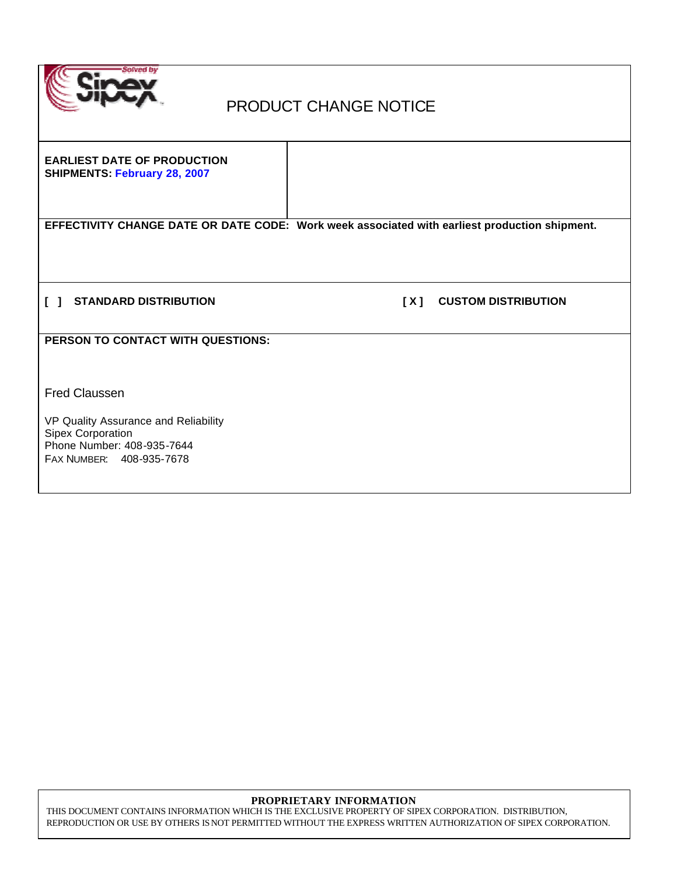

## PRODUCT CHANGE NOTICE

**EARLIEST DATE OF PRODUCTION SHIPMENTS: February 28, 2007**

**EFFECTIVITY CHANGE DATE OR DATE CODE: Work week associated with earliest production shipment.**

**[ ] STANDARD DISTRIBUTION [ X ] CUSTOM DISTRIBUTION** 

**PERSON TO CONTACT WITH QUESTIONS:**

Fred Claussen

VP Quality Assurance and Reliability Sipex Corporation Phone Number: 408-935-7644 FAX NUMBER: 408-935-7678

#### **PROPRIETARY INFORMATION**

THIS DOCUMENT CONTAINS INFORMATION WHICH IS THE EXCLUSIVE PROPERTY OF SIPEX CORPORATION. DISTRIBUTION, REPRODUCTION OR USE BY OTHERS IS NOT PERMITTED WITHOUT THE EXPRESS WRITTEN AUTHORIZATION OF SIPEX CORPORATION.